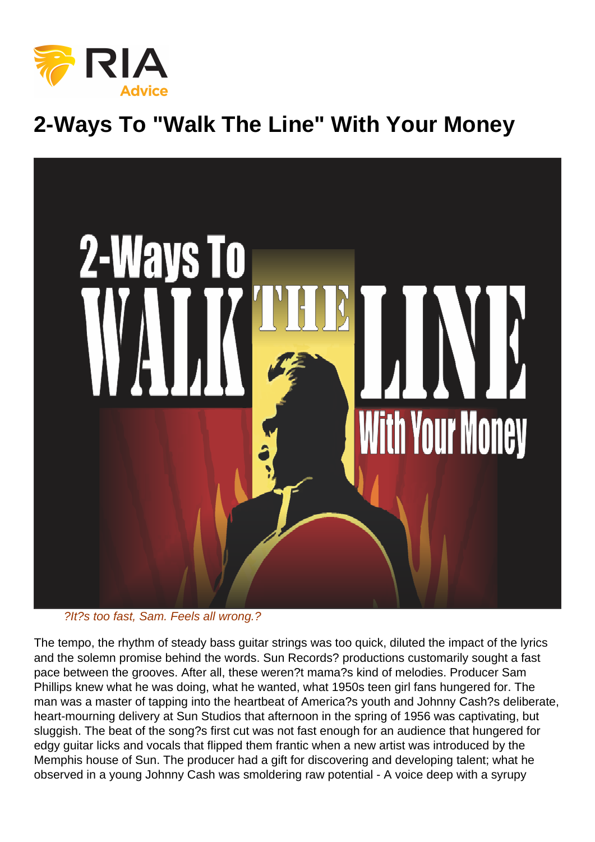# 2-Ways To "Walk The Line" With Your Money

#### ?It?s too fast, Sam. Feels all wrong.?

The tempo, the rhythm of steady bass guitar strings was too quick, diluted the impact of the lyrics and the solemn promise behind the words. Sun Records? productions customarily sought a fast pace between the grooves. After all, these weren?t mama?s kind of melodies. Producer Sam Phillips knew what he was doing, what he wanted, what 1950s teen girl fans hungered for. The man was a master of tapping into the heartbeat of America?s youth and Johnny Cash?s deliberate, heart-mourning delivery at Sun Studios that afternoon in the spring of 1956 was captivating, but sluggish. The beat of the song?s first cut was not fast enough for an audience that hungered for edgy guitar licks and vocals that flipped them frantic when a new artist was introduced by the Memphis house of Sun. The producer had a gift for discovering and developing talent; what he observed in a young Johnny Cash was smoldering raw potential - A voice deep with a syrupy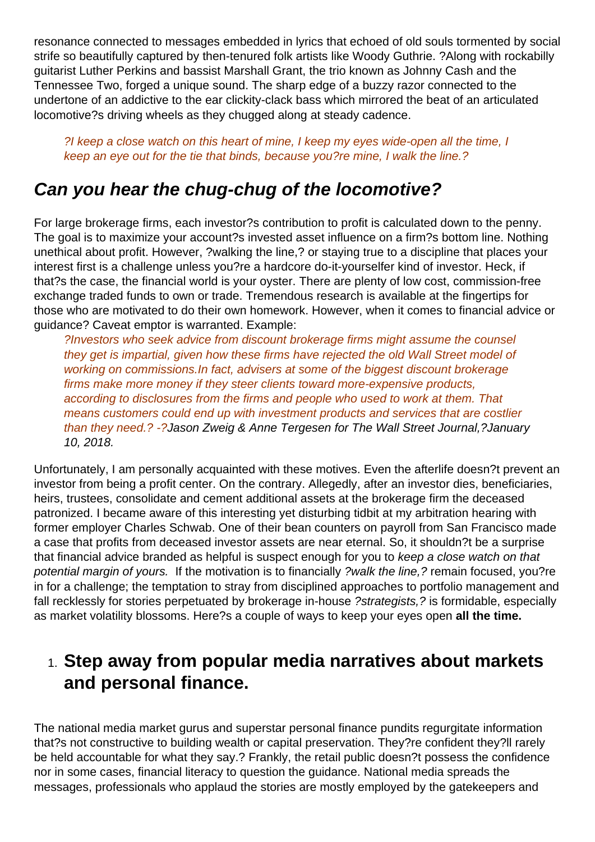resonance connected to messages embedded in lyrics that echoed of old souls tormented by social strife so beautifully captured by then-tenured folk artists like Woody Guthrie. ?Along with rockabilly guitarist Luther Perkins and bassist Marshall Grant, the trio known as Johnny Cash and the Tennessee Two, forged a unique sound. The sharp edge of a buzzy razor connected to the undertone of an addictive to the ear clickity-clack bass which mirrored the beat of an articulated locomotive?s driving wheels as they chugged along at steady cadence.

?I keep a close watch on this heart of mine, I keep my eyes wide-open all the time, I keep an eye out for the tie that binds, because you?re mine, I walk the line.?

# **Can you hear the chug-chug of the locomotive?**

For large brokerage firms, each investor?s contribution to profit is calculated down to the penny. The goal is to maximize your account?s invested asset influence on a firm?s bottom line. Nothing unethical about profit. However, ?walking the line,? or staying true to a discipline that places your interest first is a challenge unless you?re a hardcore do-it-yourselfer kind of investor. Heck, if that?s the case, the financial world is your oyster. There are plenty of low cost, commission-free exchange traded funds to own or trade. Tremendous research is available at the fingertips for those who are motivated to do their own homework. However, when it comes to financial advice or guidance? Caveat emptor is warranted. Example:

?Investors who seek advice from discount brokerage firms might assume the counsel they get is impartial, given how these firms have rejected the old Wall Street model of working on commissions.In fact, advisers at some of the biggest discount brokerage firms make more money if they steer clients toward more-expensive products, according to disclosures from the firms and people who used to work at them. That means customers could end up with investment products and services that are costlier than they need.? -?Jason Zweig & Anne Tergesen for The Wall Street Journal,?January 10, 2018.

Unfortunately, I am personally acquainted with these motives. Even the afterlife doesn?t prevent an investor from being a profit center. On the contrary. Allegedly, after an investor dies, beneficiaries, heirs, trustees, consolidate and cement additional assets at the brokerage firm the deceased patronized. I became aware of this interesting yet disturbing tidbit at my arbitration hearing with former employer Charles Schwab. One of their bean counters on payroll from San Francisco made a case that profits from deceased investor assets are near eternal. So, it shouldn?t be a surprise that financial advice branded as helpful is suspect enough for you to keep a close watch on that potential margin of yours. If the motivation is to financially ?walk the line,? remain focused, you?re in for a challenge; the temptation to stray from disciplined approaches to portfolio management and fall recklessly for stories perpetuated by brokerage in-house ?strategists, ? is formidable, especially as market volatility blossoms. Here?s a couple of ways to keep your eyes open **all the time.**

## 1. **Step away from popular media narratives about markets and personal finance.**

The national media market gurus and superstar personal finance pundits regurgitate information that?s not constructive to building wealth or capital preservation. They?re confident they?ll rarely be held accountable for what they say.? Frankly, the retail public doesn?t possess the confidence nor in some cases, financial literacy to question the guidance. National media spreads the messages, professionals who applaud the stories are mostly employed by the gatekeepers and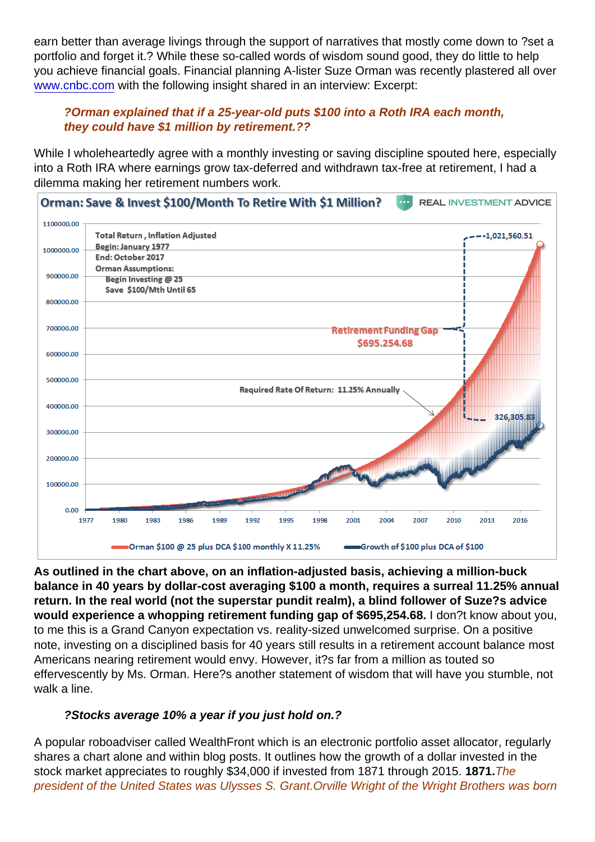earn better than average livings through the support of narratives that mostly come down to ?set a portfolio and forget it.? While these so-called words of wisdom sound good, they do little to help you achieve financial goals. Financial planning A-lister Suze Orman was recently plastered all over [www.cnbc.com](https://www.cnbc.com) with the following insight shared in an interview: Excerpt:

?Orman explained that if a 25-year-old puts \$100 into a Roth IRA each month, they could have \$1 million by retirement.??

While I wholeheartedly agree with a monthly investing or saving discipline spouted here, especially into a Roth IRA where earnings grow tax-deferred and withdrawn tax-free at retirement, I had a dilemma making her retirement numbers work.

As outlined in the chart above, on an inflation-adjusted basis, achieving a million-buck balance in 40 years by dollar-cost averaging \$100 a month, requires a surreal 11.25% annual return. In the real world (not the superstar pundit realm), a blind follower of Suze?s advice would experience a whopping retirement funding gap of \$695,254.68. I don?t know about you, to me this is a Grand Canyon expectation vs. reality-sized unwelcomed surprise. On a positive note, investing on a disciplined basis for 40 years still results in a retirement account balance most Americans nearing retirement would envy. However, it?s far from a million as touted so effervescently by Ms. Orman. Here?s another statement of wisdom that will have you stumble, not walk a line.

?Stocks average 10% a year if you just hold on.?

A popular roboadviser called WealthFront which is an electronic portfolio asset allocator, regularly shares a chart alone and within blog posts. It outlines how the growth of a dollar invested in the stock market appreciates to roughly \$34,000 if invested from 1871 through 2015. 1871.The president of the United States was Ulysses S. Grant.Orville Wright of the Wright Brothers was born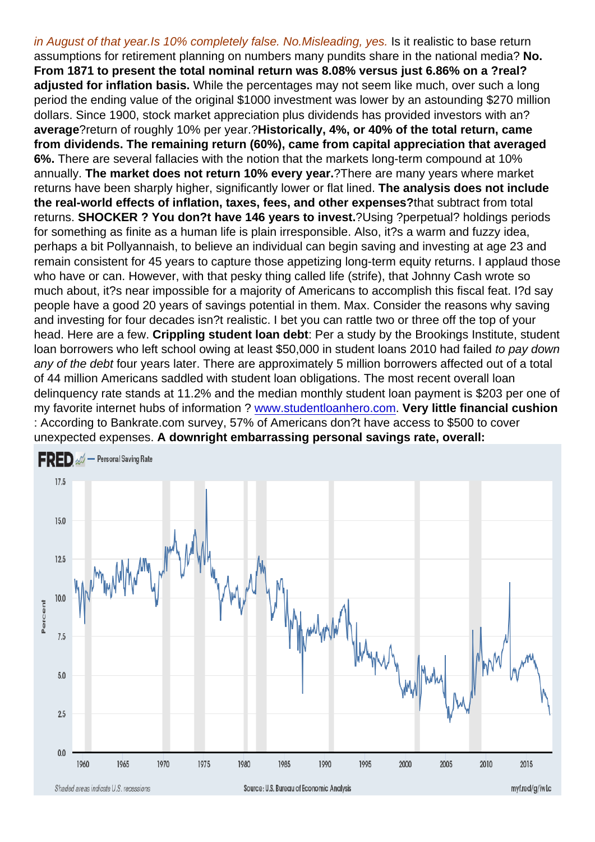in August of that year.Is 10% completely false. No.Misleading, yes. Is it realistic to base return assumptions for retirement planning on numbers many pundits share in the national media? No. From 1871 to present the total nominal return was 8.08% versus just 6.86% on a ?real? adjusted for inflation basis. While the percentages may not seem like much, over such a long period the ending value of the original \$1000 investment was lower by an astounding \$270 million dollars. Since 1900, stock market appreciation plus dividends has provided investors with an? average ?return of roughly 10% per year.?Historically, 4%, or 40% of the total return, came from dividends. The remaining return (60%), came from capital appreciation that averaged 6%. There are several fallacies with the notion that the markets long-term compound at 10% annually. The market does not return 10% every year. ?There are many years where market returns have been sharply higher, significantly lower or flat lined. The analysis does not include the real-world effects of inflation, taxes, fees, and other expenses? that subtract from total returns. SHOCKER ? You don?t have 146 years to invest. ?Using ?perpetual? holdings periods for something as finite as a human life is plain irresponsible. Also, it?s a warm and fuzzy idea, perhaps a bit Pollyannaish, to believe an individual can begin saving and investing at age 23 and remain consistent for 45 years to capture those appetizing long-term equity returns. I applaud those who have or can. However, with that pesky thing called life (strife), that Johnny Cash wrote so much about, it?s near impossible for a majority of Americans to accomplish this fiscal feat. I?d say people have a good 20 years of savings potential in them. Max. Consider the reasons why saving and investing for four decades isn?t realistic. I bet you can rattle two or three off the top of your head. Here are a few. Crippling student loan debt : Per a study by the Brookings Institute, student loan borrowers who left school owing at least \$50,000 in student loans 2010 had failed to pay down any of the debt four years later. There are approximately 5 million borrowers affected out of a total of 44 million Americans saddled with student loan obligations. The most recent overall loan delinquency rate stands at 11.2% and the median monthly student loan payment is \$203 per one of my favorite internet hubs of information ? [www.studentloanhero.com](https://www.studentloanhero.com). Very little financial cushion : According to Bankrate.com survey, 57% of Americans don?t have access to \$500 to cover unexpected expenses. A downright embarrassing personal savings rate, overall: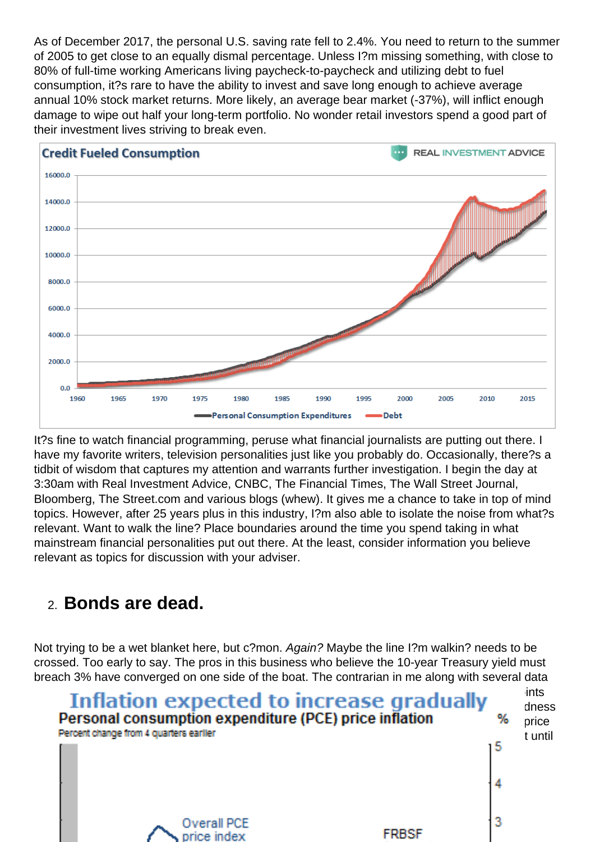As of December 2017, the personal U.S. saving rate fell to 2.4%. You need to return to the summer of 2005 to get close to an equally dismal percentage. Unless I?m missing something, with close to 80% of full-time working Americans living paycheck-to-paycheck and utilizing debt to fuel consumption, it?s rare to have the ability to invest and save long enough to achieve average annual 10% stock market returns. More likely, an average bear market (-37%), will inflict enough damage to wipe out half your long-term portfolio. No wonder retail investors spend a good part of their investment lives striving to break even.

It?s fine to watch financial programming, peruse what financial journalists are putting out there. I have my favorite writers, television personalities just like you probably do. Occasionally, there?s a tidbit of wisdom that captures my attention and warrants further investigation. I begin the day at 3:30am with Real Investment Advice, CNBC, The Financial Times, The Wall Street Journal, Bloomberg, The Street.com and various blogs (whew). It gives me a chance to take in top of mind topics. However, after 25 years plus in this industry, I?m also able to isolate the noise from what?s relevant. Want to walk the line? Place boundaries around the time you spend taking in what mainstream financial personalities put out there. At the least, consider information you believe relevant as topics for discussion with your adviser.

## 2. Bonds are dead.

Not trying to be a wet blanket here, but c?mon. Again? Maybe the line I?m walkin? needs to be crossed. Too early to say. The pros in this business who believe the 10-year Treasury yield must breach 3% have converged on one side of the boat. The contrarian in me along with several data [points compel me to maintain a preference to remain on the lonely side of the ship. These po](https://realinvestmentadvice.com/wp-content/uploads/2018/02/Rosso-Slide-1-022118.png)ints include: Current consensus estimates of GDP (2.5% - not too hot, not too cold), over indebtedness of governments, corporations, individuals, and inflation as measured by the Fed?s preferred price index, the PCE (see below), expected to remain contained and not meet the Fed?s 2% target until mid-2019.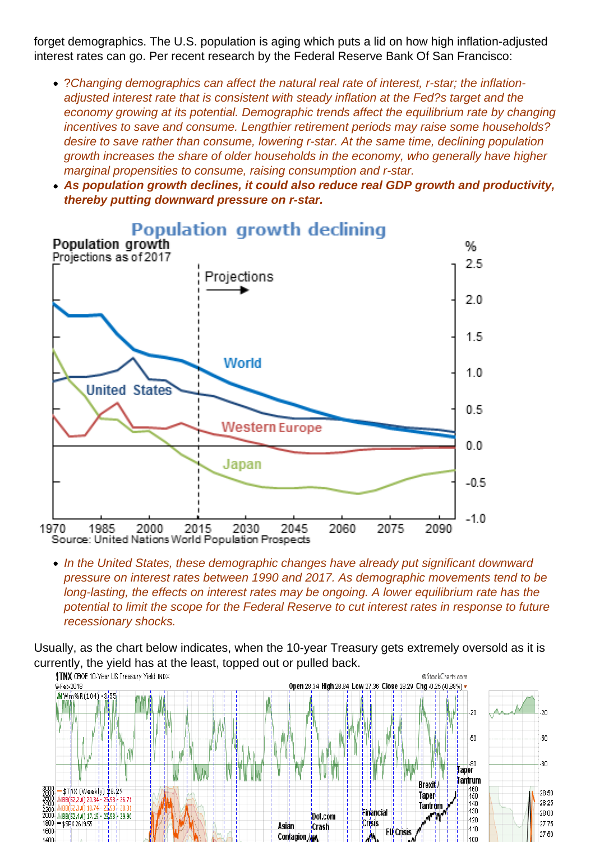forget demographics. The U.S. population is aging which puts a lid on how high inflation-adjusted interest rates can go. Per recent research by the Federal Reserve Bank Of San Francisco:

- ?Changing demographics can affect the natural real rate of interest, r-star; the inflationadjusted interest rate that is consistent with steady inflation at the Fed?s target and the economy growing at its potential. Demographic trends affect the equilibrium rate by changing incentives to save and consume. Lengthier retirement periods may raise some households? desire to save rather than consume, lowering r-star. At the same time, declining population growth increases the share of older households in the economy, who generally have higher marginal propensities to consume, raising consumption and r-star.
- As population growth declines, it could also reduce real GDP growth and productivity, thereby putting downward pressure on r-star.

• In the United States, these demographic changes have already put significant downward pressure on interest rates between 1990 and 2017. As demographic movements tend to be long-lasting, the effects on interest rates may be ongoing. A lower equilibrium rate has the potential to limit the scope for the Federal Reserve to cut interest rates in response to future recessionary shocks.

Usually, as the chart below indicates, when the 10-year Treasury gets extremely oversold as it is currently, the yield has at the least, topped out or pulled back.